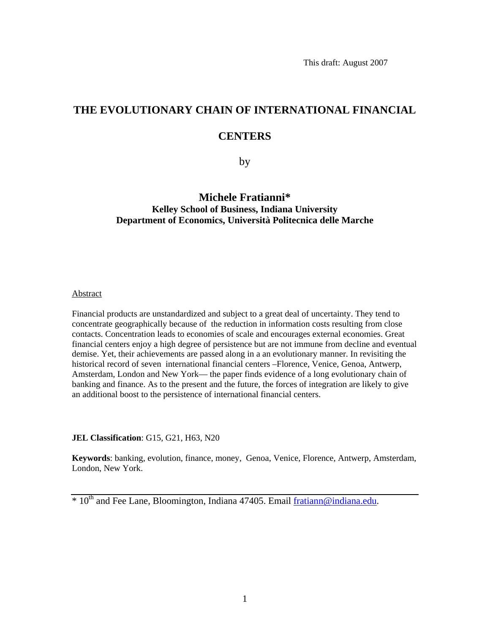# **THE EVOLUTIONARY CHAIN OF INTERNATIONAL FINANCIAL**

**CENTERS** 

by

# **Michele Fratianni\* Kelley School of Business, Indiana University Department of Economics, Università Politecnica delle Marche**

Abstract

Financial products are unstandardized and subject to a great deal of uncertainty. They tend to concentrate geographically because of the reduction in information costs resulting from close contacts. Concentration leads to economies of scale and encourages external economies. Great financial centers enjoy a high degree of persistence but are not immune from decline and eventual demise. Yet, their achievements are passed along in a an evolutionary manner. In revisiting the historical record of seven international financial centers –Florence, Venice, Genoa, Antwerp, Amsterdam, London and New York— the paper finds evidence of a long evolutionary chain of banking and finance. As to the present and the future, the forces of integration are likely to give an additional boost to the persistence of international financial centers.

**JEL Classification**: G15, G21, H63, N20

**Keywords**: banking, evolution, finance, money, Genoa, Venice, Florence, Antwerp, Amsterdam, London, New York.

 $*10<sup>th</sup>$  and Fee Lane, Bloomington, Indiana 47405. Email fratiann@indiana.edu.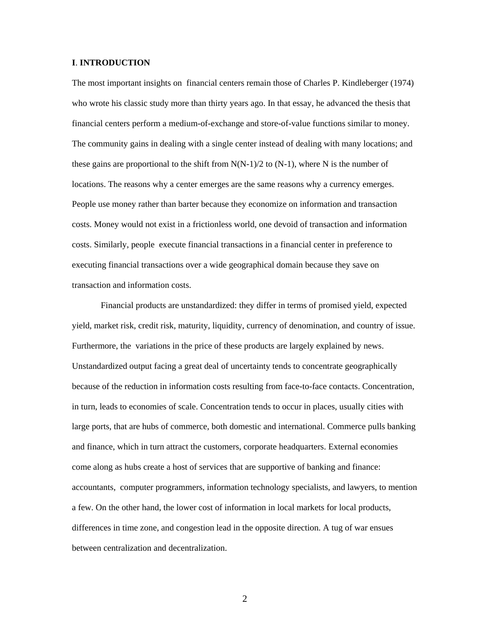# **I**. **INTRODUCTION**

The most important insights on financial centers remain those of Charles P. Kindleberger (1974) who wrote his classic study more than thirty years ago. In that essay, he advanced the thesis that financial centers perform a medium-of-exchange and store-of-value functions similar to money. The community gains in dealing with a single center instead of dealing with many locations; and these gains are proportional to the shift from  $N(N-1)/2$  to  $(N-1)$ , where N is the number of locations. The reasons why a center emerges are the same reasons why a currency emerges. People use money rather than barter because they economize on information and transaction costs. Money would not exist in a frictionless world, one devoid of transaction and information costs. Similarly, people execute financial transactions in a financial center in preference to executing financial transactions over a wide geographical domain because they save on transaction and information costs.

Financial products are unstandardized: they differ in terms of promised yield, expected yield, market risk, credit risk, maturity, liquidity, currency of denomination, and country of issue. Furthermore, the variations in the price of these products are largely explained by news. Unstandardized output facing a great deal of uncertainty tends to concentrate geographically because of the reduction in information costs resulting from face-to-face contacts. Concentration, in turn, leads to economies of scale. Concentration tends to occur in places, usually cities with large ports, that are hubs of commerce, both domestic and international. Commerce pulls banking and finance, which in turn attract the customers, corporate headquarters. External economies come along as hubs create a host of services that are supportive of banking and finance: accountants, computer programmers, information technology specialists, and lawyers, to mention a few. On the other hand, the lower cost of information in local markets for local products, differences in time zone, and congestion lead in the opposite direction. A tug of war ensues between centralization and decentralization.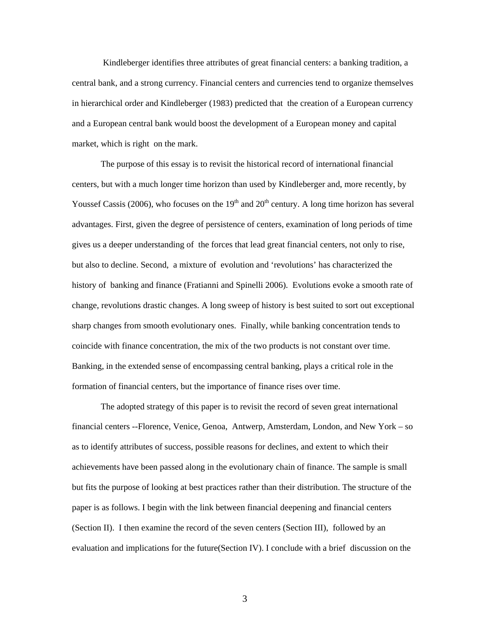Kindleberger identifies three attributes of great financial centers: a banking tradition, a central bank, and a strong currency. Financial centers and currencies tend to organize themselves in hierarchical order and Kindleberger (1983) predicted that the creation of a European currency and a European central bank would boost the development of a European money and capital market, which is right on the mark.

The purpose of this essay is to revisit the historical record of international financial centers, but with a much longer time horizon than used by Kindleberger and, more recently, by Youssef Cassis (2006), who focuses on the  $19<sup>th</sup>$  and  $20<sup>th</sup>$  century. A long time horizon has several advantages. First, given the degree of persistence of centers, examination of long periods of time gives us a deeper understanding of the forces that lead great financial centers, not only to rise, but also to decline. Second, a mixture of evolution and 'revolutions' has characterized the history of banking and finance (Fratianni and Spinelli 2006). Evolutions evoke a smooth rate of change, revolutions drastic changes. A long sweep of history is best suited to sort out exceptional sharp changes from smooth evolutionary ones. Finally, while banking concentration tends to coincide with finance concentration, the mix of the two products is not constant over time. Banking, in the extended sense of encompassing central banking, plays a critical role in the formation of financial centers, but the importance of finance rises over time.

The adopted strategy of this paper is to revisit the record of seven great international financial centers --Florence, Venice, Genoa, Antwerp, Amsterdam, London, and New York – so as to identify attributes of success, possible reasons for declines, and extent to which their achievements have been passed along in the evolutionary chain of finance. The sample is small but fits the purpose of looking at best practices rather than their distribution. The structure of the paper is as follows. I begin with the link between financial deepening and financial centers (Section II). I then examine the record of the seven centers (Section III), followed by an evaluation and implications for the future(Section IV). I conclude with a brief discussion on the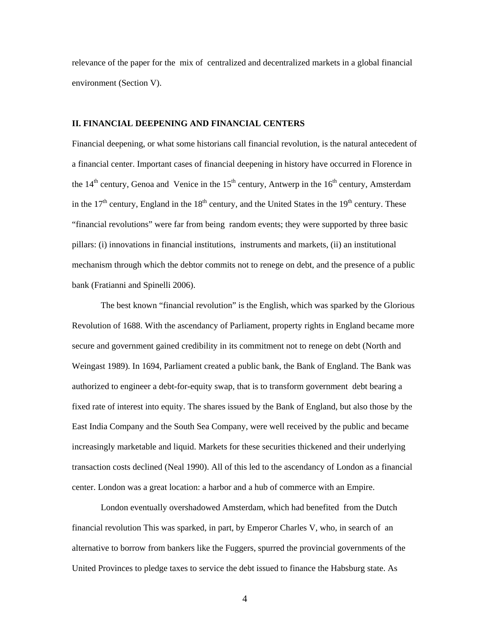relevance of the paper for the mix of centralized and decentralized markets in a global financial environment (Section V).

# **II. FINANCIAL DEEPENING AND FINANCIAL CENTERS**

Financial deepening, or what some historians call financial revolution, is the natural antecedent of a financial center. Important cases of financial deepening in history have occurred in Florence in the  $14<sup>th</sup>$  century, Genoa and Venice in the  $15<sup>th</sup>$  century, Antwerp in the  $16<sup>th</sup>$  century, Amsterdam in the  $17<sup>th</sup>$  century, England in the  $18<sup>th</sup>$  century, and the United States in the  $19<sup>th</sup>$  century. These "financial revolutions" were far from being random events; they were supported by three basic pillars: (i) innovations in financial institutions, instruments and markets, (ii) an institutional mechanism through which the debtor commits not to renege on debt, and the presence of a public bank (Fratianni and Spinelli 2006).

The best known "financial revolution" is the English, which was sparked by the Glorious Revolution of 1688. With the ascendancy of Parliament, property rights in England became more secure and government gained credibility in its commitment not to renege on debt (North and Weingast 1989). In 1694, Parliament created a public bank, the Bank of England. The Bank was authorized to engineer a debt-for-equity swap, that is to transform government debt bearing a fixed rate of interest into equity. The shares issued by the Bank of England, but also those by the East India Company and the South Sea Company, were well received by the public and became increasingly marketable and liquid. Markets for these securities thickened and their underlying transaction costs declined (Neal 1990). All of this led to the ascendancy of London as a financial center. London was a great location: a harbor and a hub of commerce with an Empire.

London eventually overshadowed Amsterdam, which had benefited from the Dutch financial revolution This was sparked, in part, by Emperor Charles V, who, in search of an alternative to borrow from bankers like the Fuggers, spurred the provincial governments of the United Provinces to pledge taxes to service the debt issued to finance the Habsburg state. As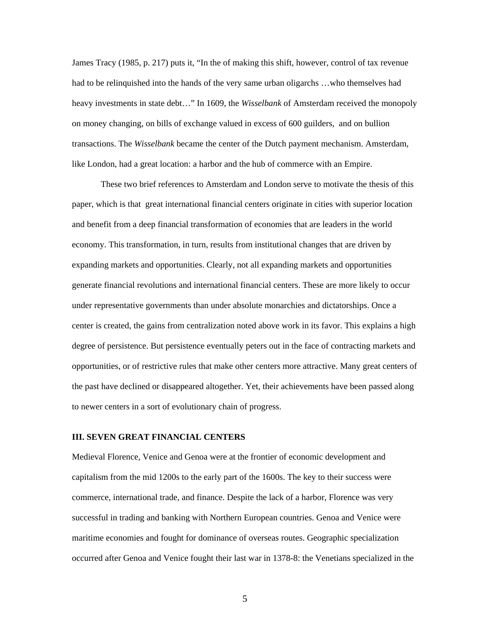James Tracy (1985, p. 217) puts it, "In the of making this shift, however, control of tax revenue had to be relinquished into the hands of the very same urban oligarchs …who themselves had heavy investments in state debt…" In 1609, the *Wisselbank* of Amsterdam received the monopoly on money changing, on bills of exchange valued in excess of 600 guilders, and on bullion transactions. The *Wisselbank* became the center of the Dutch payment mechanism. Amsterdam, like London, had a great location: a harbor and the hub of commerce with an Empire.

These two brief references to Amsterdam and London serve to motivate the thesis of this paper, which is that great international financial centers originate in cities with superior location and benefit from a deep financial transformation of economies that are leaders in the world economy. This transformation, in turn, results from institutional changes that are driven by expanding markets and opportunities. Clearly, not all expanding markets and opportunities generate financial revolutions and international financial centers. These are more likely to occur under representative governments than under absolute monarchies and dictatorships. Once a center is created, the gains from centralization noted above work in its favor. This explains a high degree of persistence. But persistence eventually peters out in the face of contracting markets and opportunities, or of restrictive rules that make other centers more attractive. Many great centers of the past have declined or disappeared altogether. Yet, their achievements have been passed along to newer centers in a sort of evolutionary chain of progress.

# **III. SEVEN GREAT FINANCIAL CENTERS**

Medieval Florence, Venice and Genoa were at the frontier of economic development and capitalism from the mid 1200s to the early part of the 1600s. The key to their success were commerce, international trade, and finance. Despite the lack of a harbor, Florence was very successful in trading and banking with Northern European countries. Genoa and Venice were maritime economies and fought for dominance of overseas routes. Geographic specialization occurred after Genoa and Venice fought their last war in 1378-8: the Venetians specialized in the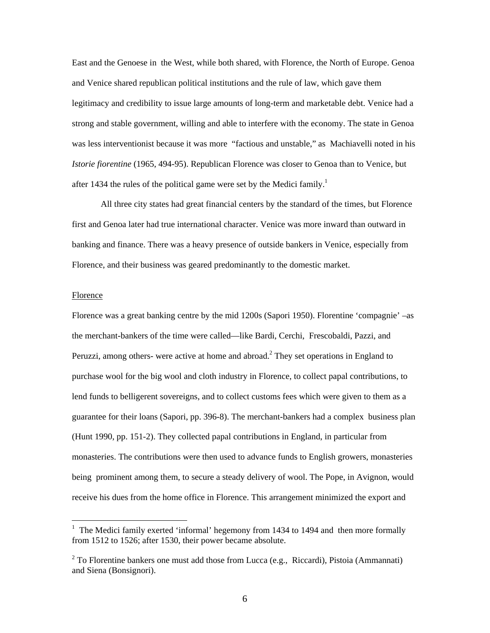East and the Genoese in the West, while both shared, with Florence, the North of Europe. Genoa and Venice shared republican political institutions and the rule of law, which gave them legitimacy and credibility to issue large amounts of long-term and marketable debt. Venice had a strong and stable government, willing and able to interfere with the economy. The state in Genoa was less interventionist because it was more "factious and unstable," as Machiavelli noted in his *Istorie fiorentine* (1965, 494-95). Republican Florence was closer to Genoa than to Venice, but after 1434 the rules of the political game were set by the Medici family.<sup>1</sup>

 All three city states had great financial centers by the standard of the times, but Florence first and Genoa later had true international character. Venice was more inward than outward in banking and finance. There was a heavy presence of outside bankers in Venice, especially from Florence, and their business was geared predominantly to the domestic market.

# Florence

 $\overline{a}$ 

Florence was a great banking centre by the mid 1200s (Sapori 1950). Florentine 'compagnie' –as the merchant-bankers of the time were called—like Bardi, Cerchi, Frescobaldi, Pazzi, and Peruzzi, among others- were active at home and abroad.<sup>2</sup> They set operations in England to purchase wool for the big wool and cloth industry in Florence, to collect papal contributions, to lend funds to belligerent sovereigns, and to collect customs fees which were given to them as a guarantee for their loans (Sapori, pp. 396-8). The merchant-bankers had a complex business plan (Hunt 1990, pp. 151-2). They collected papal contributions in England, in particular from monasteries. The contributions were then used to advance funds to English growers, monasteries being prominent among them, to secure a steady delivery of wool. The Pope, in Avignon, would receive his dues from the home office in Florence. This arrangement minimized the export and

<sup>&</sup>lt;sup>1</sup> The Medici family exerted 'informal' hegemony from 1434 to 1494 and then more formally from 1512 to 1526; after 1530, their power became absolute.

<sup>&</sup>lt;sup>2</sup> To Florentine bankers one must add those from Lucca (e.g., Riccardi), Pistoia (Ammannati) and Siena (Bonsignori).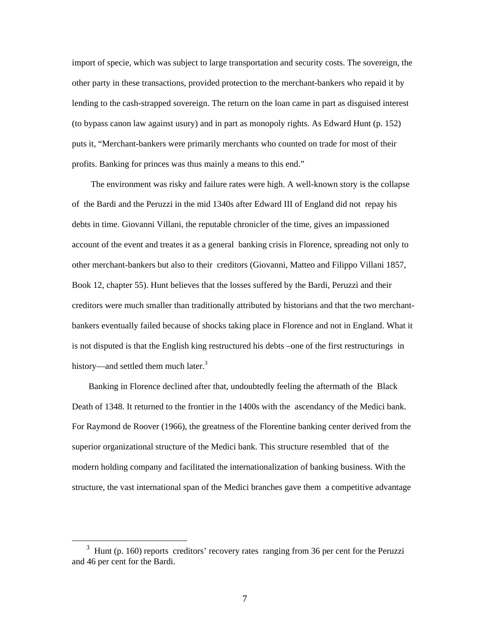import of specie, which was subject to large transportation and security costs. The sovereign, the other party in these transactions, provided protection to the merchant-bankers who repaid it by lending to the cash-strapped sovereign. The return on the loan came in part as disguised interest (to bypass canon law against usury) and in part as monopoly rights. As Edward Hunt (p. 152) puts it, "Merchant-bankers were primarily merchants who counted on trade for most of their profits. Banking for princes was thus mainly a means to this end."

 The environment was risky and failure rates were high. A well-known story is the collapse of the Bardi and the Peruzzi in the mid 1340s after Edward III of England did not repay his debts in time. Giovanni Villani, the reputable chronicler of the time, gives an impassioned account of the event and treates it as a general banking crisis in Florence, spreading not only to other merchant-bankers but also to their creditors (Giovanni, Matteo and Filippo Villani 1857, Book 12, chapter 55). Hunt believes that the losses suffered by the Bardi, Peruzzi and their creditors were much smaller than traditionally attributed by historians and that the two merchantbankers eventually failed because of shocks taking place in Florence and not in England. What it is not disputed is that the English king restructured his debts –one of the first restructurings in history—and settled them much later.<sup>3</sup>

 Banking in Florence declined after that, undoubtedly feeling the aftermath of the Black Death of 1348. It returned to the frontier in the 1400s with the ascendancy of the Medici bank. For Raymond de Roover (1966), the greatness of the Florentine banking center derived from the superior organizational structure of the Medici bank. This structure resembled that of the modern holding company and facilitated the internationalization of banking business. With the structure, the vast international span of the Medici branches gave them a competitive advantage

 $3$  Hunt (p. 160) reports creditors' recovery rates ranging from 36 per cent for the Peruzzi and 46 per cent for the Bardi.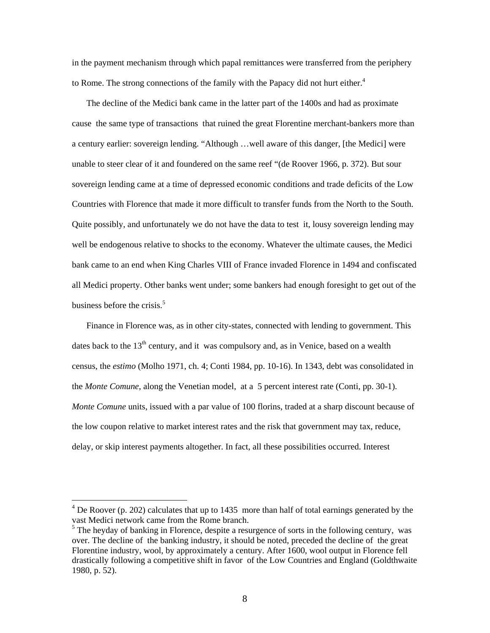in the payment mechanism through which papal remittances were transferred from the periphery to Rome. The strong connections of the family with the Papacy did not hurt either. $4$ 

The decline of the Medici bank came in the latter part of the 1400s and had as proximate cause the same type of transactions that ruined the great Florentine merchant-bankers more than a century earlier: sovereign lending. "Although …well aware of this danger, [the Medici] were unable to steer clear of it and foundered on the same reef "(de Roover 1966, p. 372). But sour sovereign lending came at a time of depressed economic conditions and trade deficits of the Low Countries with Florence that made it more difficult to transfer funds from the North to the South. Quite possibly, and unfortunately we do not have the data to test it, lousy sovereign lending may well be endogenous relative to shocks to the economy. Whatever the ultimate causes, the Medici bank came to an end when King Charles VIII of France invaded Florence in 1494 and confiscated all Medici property. Other banks went under; some bankers had enough foresight to get out of the business before the crisis.<sup>5</sup>

Finance in Florence was, as in other city-states, connected with lending to government. This dates back to the  $13<sup>th</sup>$  century, and it was compulsory and, as in Venice, based on a wealth census, the *estimo* (Molho 1971, ch. 4; Conti 1984, pp. 10-16). In 1343, debt was consolidated in the *Monte Comune*, along the Venetian model, at a 5 percent interest rate (Conti, pp. 30-1). *Monte Comune* units, issued with a par value of 100 florins, traded at a sharp discount because of the low coupon relative to market interest rates and the risk that government may tax, reduce, delay, or skip interest payments altogether. In fact, all these possibilities occurred. Interest

 $4$  De Roover (p. 202) calculates that up to 1435 more than half of total earnings generated by the vast Medici network came from the Rome branch.

<sup>&</sup>lt;sup>5</sup> The heyday of banking in Florence, despite a resurgence of sorts in the following century, was over. The decline of the banking industry, it should be noted, preceded the decline of the great Florentine industry, wool, by approximately a century. After 1600, wool output in Florence fell drastically following a competitive shift in favor of the Low Countries and England (Goldthwaite 1980, p. 52).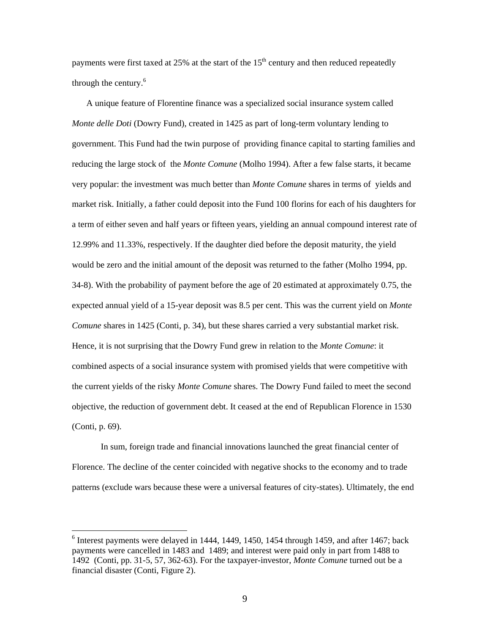payments were first taxed at 25% at the start of the  $15<sup>th</sup>$  century and then reduced repeatedly through the century.<sup>6</sup>

A unique feature of Florentine finance was a specialized social insurance system called *Monte delle Doti* (Dowry Fund), created in 1425 as part of long-term voluntary lending to government. This Fund had the twin purpose of providing finance capital to starting families and reducing the large stock of the *Monte Comune* (Molho 1994). After a few false starts, it became very popular: the investment was much better than *Monte Comune* shares in terms of yields and market risk. Initially, a father could deposit into the Fund 100 florins for each of his daughters for a term of either seven and half years or fifteen years, yielding an annual compound interest rate of 12.99% and 11.33%, respectively. If the daughter died before the deposit maturity, the yield would be zero and the initial amount of the deposit was returned to the father (Molho 1994, pp. 34-8). With the probability of payment before the age of 20 estimated at approximately 0.75, the expected annual yield of a 15-year deposit was 8.5 per cent. This was the current yield on *Monte Comune* shares in 1425 (Conti, p. 34), but these shares carried a very substantial market risk. Hence, it is not surprising that the Dowry Fund grew in relation to the *Monte Comune*: it combined aspects of a social insurance system with promised yields that were competitive with the current yields of the risky *Monte Comune* shares. The Dowry Fund failed to meet the second objective, the reduction of government debt. It ceased at the end of Republican Florence in 1530 (Conti, p. 69).

 In sum, foreign trade and financial innovations launched the great financial center of Florence. The decline of the center coincided with negative shocks to the economy and to trade patterns (exclude wars because these were a universal features of city-states). Ultimately, the end

 $6$  Interest payments were delayed in 1444, 1449, 1450, 1454 through 1459, and after 1467; back payments were cancelled in 1483 and 1489; and interest were paid only in part from 1488 to 1492 (Conti, pp. 31-5, 57, 362-63). For the taxpayer-investor, *Monte Comune* turned out be a financial disaster (Conti, Figure 2).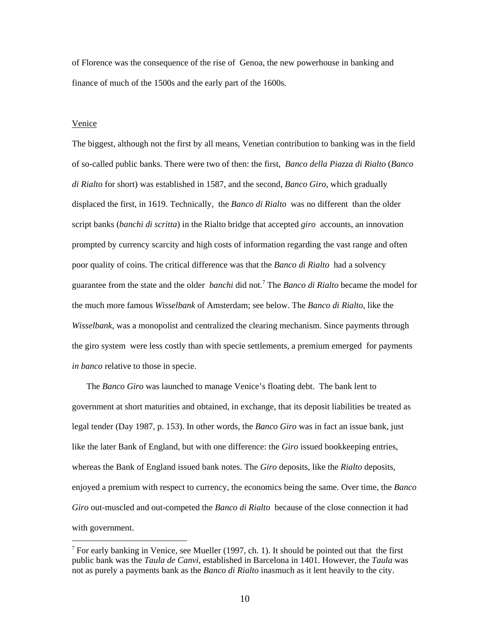of Florence was the consequence of the rise of Genoa, the new powerhouse in banking and finance of much of the 1500s and the early part of the 1600s.

#### Venice

 $\overline{a}$ 

The biggest, although not the first by all means, Venetian contribution to banking was in the field of so-called public banks. There were two of then: the first, *Banco della Piazza di Rialto* (*Banco di Rialto* for short) was established in 1587, and the second, *Banco Giro*, which gradually displaced the first, in 1619. Technically, the *Banco di Rialto* was no different than the older script banks (*banchi di scritta*) in the Rialto bridge that accepted *giro* accounts, an innovation prompted by currency scarcity and high costs of information regarding the vast range and often poor quality of coins. The critical difference was that the *Banco di Rialto* had a solvency guarantee from the state and the older *banchi* did not.7 The *Banco di Rialto* became the model for the much more famous *Wisselbank* of Amsterdam; see below. The *Banco di Rialto*, like the *Wisselbank*, was a monopolist and centralized the clearing mechanism. Since payments through the giro system were less costly than with specie settlements, a premium emerged for payments *in banco* relative to those in specie.

The *Banco Giro* was launched to manage Venice's floating debt. The bank lent to government at short maturities and obtained, in exchange, that its deposit liabilities be treated as legal tender (Day 1987, p. 153). In other words, the *Banco Giro* was in fact an issue bank, just like the later Bank of England, but with one difference: the *Giro* issued bookkeeping entries, whereas the Bank of England issued bank notes. The *Giro* deposits, like the *Rialto* deposits, enjoyed a premium with respect to currency, the economics being the same. Over time, the *Banco Giro* out-muscled and out-competed the *Banco di Rialto* because of the close connection it had with government.

 $<sup>7</sup>$  For early banking in Venice, see Mueller (1997, ch. 1). It should be pointed out that the first</sup> public bank was the *Taula de Canvi*, established in Barcelona in 1401. However, the *Taula* was not as purely a payments bank as the *Banco di Rialto* inasmuch as it lent heavily to the city.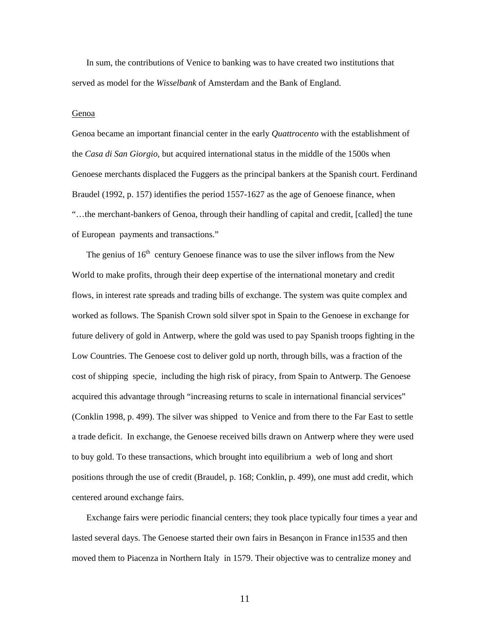In sum, the contributions of Venice to banking was to have created two institutions that served as model for the *Wisselbank* of Amsterdam and the Bank of England.

### Genoa

Genoa became an important financial center in the early *Quattrocento* with the establishment of the *Casa di San Giorgio*, but acquired international status in the middle of the 1500s when Genoese merchants displaced the Fuggers as the principal bankers at the Spanish court. Ferdinand Braudel (1992, p. 157) identifies the period 1557-1627 as the age of Genoese finance, when "…the merchant-bankers of Genoa, through their handling of capital and credit, [called] the tune of European payments and transactions."

The genius of  $16<sup>th</sup>$  century Genoese finance was to use the silver inflows from the New World to make profits, through their deep expertise of the international monetary and credit flows, in interest rate spreads and trading bills of exchange. The system was quite complex and worked as follows. The Spanish Crown sold silver spot in Spain to the Genoese in exchange for future delivery of gold in Antwerp, where the gold was used to pay Spanish troops fighting in the Low Countries. The Genoese cost to deliver gold up north, through bills, was a fraction of the cost of shipping specie, including the high risk of piracy, from Spain to Antwerp. The Genoese acquired this advantage through "increasing returns to scale in international financial services" (Conklin 1998, p. 499). The silver was shipped to Venice and from there to the Far East to settle a trade deficit. In exchange, the Genoese received bills drawn on Antwerp where they were used to buy gold. To these transactions, which brought into equilibrium a web of long and short positions through the use of credit (Braudel, p. 168; Conklin, p. 499), one must add credit, which centered around exchange fairs.

Exchange fairs were periodic financial centers; they took place typically four times a year and lasted several days. The Genoese started their own fairs in Besançon in France in1535 and then moved them to Piacenza in Northern Italy in 1579. Their objective was to centralize money and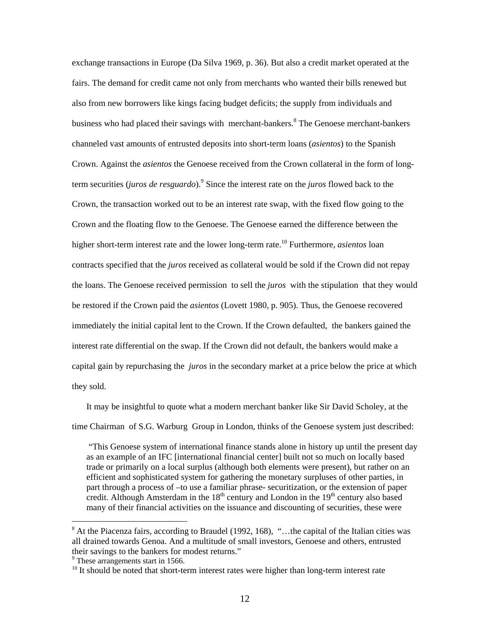exchange transactions in Europe (Da Silva 1969, p. 36). But also a credit market operated at the fairs. The demand for credit came not only from merchants who wanted their bills renewed but also from new borrowers like kings facing budget deficits; the supply from individuals and business who had placed their savings with merchant-bankers.<sup>8</sup> The Genoese merchant-bankers channeled vast amounts of entrusted deposits into short-term loans (*asientos*) to the Spanish Crown. Against the *asientos* the Genoese received from the Crown collateral in the form of longterm securities (*juros de resguardo*).9 Since the interest rate on the *juros* flowed back to the Crown, the transaction worked out to be an interest rate swap, with the fixed flow going to the Crown and the floating flow to the Genoese. The Genoese earned the difference between the higher short-term interest rate and the lower long-term rate.10 Furthermore, *asientos* loan contracts specified that the *juros* received as collateral would be sold if the Crown did not repay the loans. The Genoese received permission to sell the *juros* with the stipulation that they would be restored if the Crown paid the *asientos* (Lovett 1980, p. 905). Thus, the Genoese recovered immediately the initial capital lent to the Crown. If the Crown defaulted, the bankers gained the interest rate differential on the swap. If the Crown did not default, the bankers would make a capital gain by repurchasing the *juros* in the secondary market at a price below the price at which they sold.

It may be insightful to quote what a modern merchant banker like Sir David Scholey, at the time Chairman of S.G. Warburg Group in London, thinks of the Genoese system just described:

 "This Genoese system of international finance stands alone in history up until the present day as an example of an IFC [international financial center] built not so much on locally based trade or primarily on a local surplus (although both elements were present), but rather on an efficient and sophisticated system for gathering the monetary surpluses of other parties, in part through a process of –to use a familiar phrase- securitization, or the extension of paper credit. Although Amsterdam in the  $18<sup>th</sup>$  century and London in the  $19<sup>th</sup>$  century also based many of their financial activities on the issuance and discounting of securities, these were

<sup>&</sup>lt;sup>8</sup> At the Piacenza fairs, according to Braudel (1992, 168), "...the capital of the Italian cities was all drained towards Genoa. And a multitude of small investors, Genoese and others, entrusted their savings to the bankers for modest returns."

 $9$ <sup>9</sup> These arrangements start in 1566.

 $10$  It should be noted that short-term interest rates were higher than long-term interest rate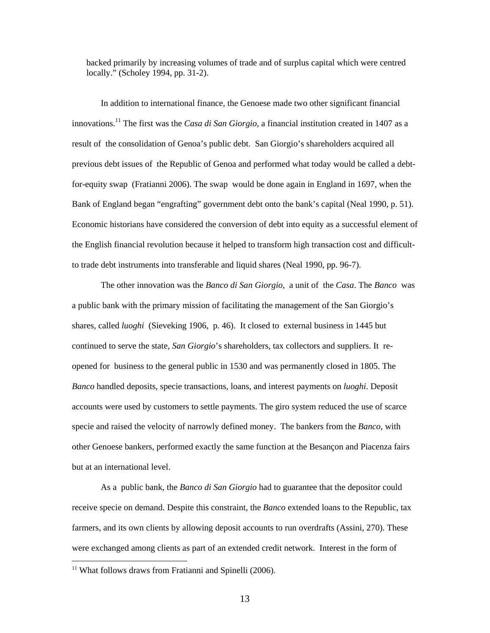backed primarily by increasing volumes of trade and of surplus capital which were centred locally." (Scholey 1994, pp. 31-2).

In addition to international finance, the Genoese made two other significant financial innovations.11 The first was the *Casa di San Giorgio*, a financial institution created in 1407 as a result of the consolidation of Genoa's public debt. San Giorgio's shareholders acquired all previous debt issues of the Republic of Genoa and performed what today would be called a debtfor-equity swap (Fratianni 2006). The swap would be done again in England in 1697, when the Bank of England began "engrafting" government debt onto the bank's capital (Neal 1990, p. 51). Economic historians have considered the conversion of debt into equity as a successful element of the English financial revolution because it helped to transform high transaction cost and difficultto trade debt instruments into transferable and liquid shares (Neal 1990, pp. 96-7).

The other innovation was the *Banco di San Giorgio*, a unit of the *Casa*. The *Banco* was a public bank with the primary mission of facilitating the management of the San Giorgio's shares, called *luoghi* (Sieveking 1906, p. 46). It closed to external business in 1445 but continued to serve the state, *San Giorgio*'s shareholders, tax collectors and suppliers. It reopened for business to the general public in 1530 and was permanently closed in 1805. The *Banco* handled deposits, specie transactions, loans, and interest payments on *luoghi*. Deposit accounts were used by customers to settle payments. The giro system reduced the use of scarce specie and raised the velocity of narrowly defined money. The bankers from the *Banco*, with other Genoese bankers, performed exactly the same function at the Besançon and Piacenza fairs but at an international level.

 As a public bank, the *Banco di San Giorgio* had to guarantee that the depositor could receive specie on demand. Despite this constraint, the *Banco* extended loans to the Republic, tax farmers, and its own clients by allowing deposit accounts to run overdrafts (Assini, 270). These were exchanged among clients as part of an extended credit network. Interest in the form of

 $11$  What follows draws from Fratianni and Spinelli (2006).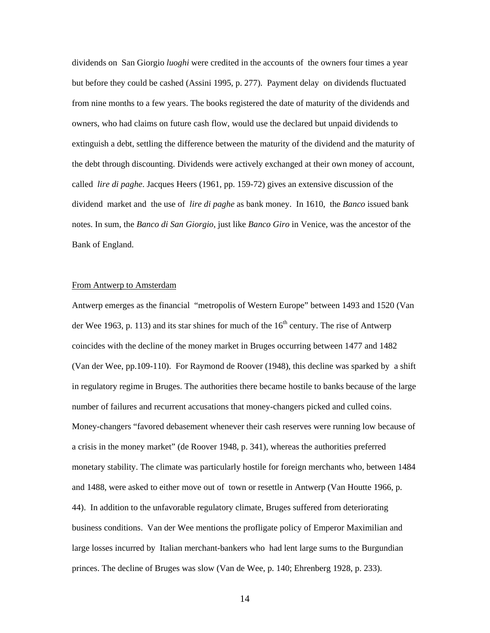dividends on San Giorgio *luoghi* were credited in the accounts of the owners four times a year but before they could be cashed (Assini 1995, p. 277). Payment delay on dividends fluctuated from nine months to a few years. The books registered the date of maturity of the dividends and owners, who had claims on future cash flow, would use the declared but unpaid dividends to extinguish a debt, settling the difference between the maturity of the dividend and the maturity of the debt through discounting. Dividends were actively exchanged at their own money of account, called *lire di paghe*. Jacques Heers (1961, pp. 159-72) gives an extensive discussion of the dividend market and the use of *lire di paghe* as bank money. In 1610, the *Banco* issued bank notes. In sum, the *Banco di San Giorgio*, just like *Banco Giro* in Venice, was the ancestor of the Bank of England.

# From Antwerp to Amsterdam

Antwerp emerges as the financial "metropolis of Western Europe" between 1493 and 1520 (Van der Wee 1963, p. 113) and its star shines for much of the  $16<sup>th</sup>$  century. The rise of Antwerp coincides with the decline of the money market in Bruges occurring between 1477 and 1482 (Van der Wee, pp.109-110). For Raymond de Roover (1948), this decline was sparked by a shift in regulatory regime in Bruges. The authorities there became hostile to banks because of the large number of failures and recurrent accusations that money-changers picked and culled coins. Money-changers "favored debasement whenever their cash reserves were running low because of a crisis in the money market" (de Roover 1948, p. 341), whereas the authorities preferred monetary stability. The climate was particularly hostile for foreign merchants who, between 1484 and 1488, were asked to either move out of town or resettle in Antwerp (Van Houtte 1966, p. 44). In addition to the unfavorable regulatory climate, Bruges suffered from deteriorating business conditions. Van der Wee mentions the profligate policy of Emperor Maximilian and large losses incurred by Italian merchant-bankers who had lent large sums to the Burgundian princes. The decline of Bruges was slow (Van de Wee, p. 140; Ehrenberg 1928, p. 233).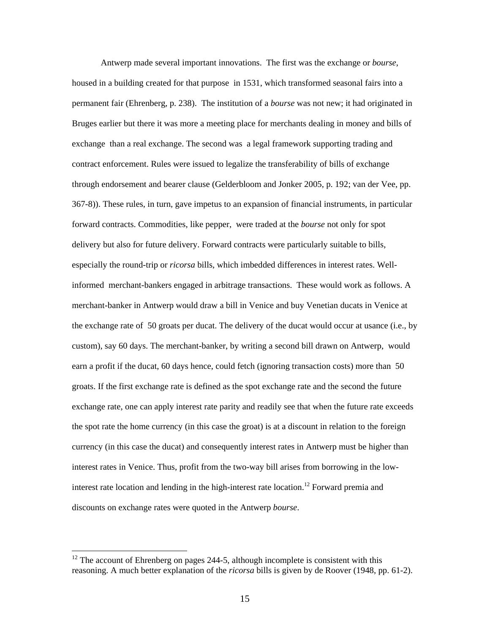Antwerp made several important innovations. The first was the exchange or *bourse*, housed in a building created for that purpose in 1531, which transformed seasonal fairs into a permanent fair (Ehrenberg, p. 238). The institution of a *bourse* was not new; it had originated in Bruges earlier but there it was more a meeting place for merchants dealing in money and bills of exchange than a real exchange. The second was a legal framework supporting trading and contract enforcement. Rules were issued to legalize the transferability of bills of exchange through endorsement and bearer clause (Gelderbloom and Jonker 2005, p. 192; van der Vee, pp. 367-8)). These rules, in turn, gave impetus to an expansion of financial instruments, in particular forward contracts. Commodities, like pepper, were traded at the *bourse* not only for spot delivery but also for future delivery. Forward contracts were particularly suitable to bills, especially the round-trip or *ricorsa* bills, which imbedded differences in interest rates. Wellinformed merchant-bankers engaged in arbitrage transactions. These would work as follows. A merchant-banker in Antwerp would draw a bill in Venice and buy Venetian ducats in Venice at the exchange rate of 50 groats per ducat. The delivery of the ducat would occur at usance (i.e., by custom), say 60 days. The merchant-banker, by writing a second bill drawn on Antwerp, would earn a profit if the ducat, 60 days hence, could fetch (ignoring transaction costs) more than 50 groats. If the first exchange rate is defined as the spot exchange rate and the second the future exchange rate, one can apply interest rate parity and readily see that when the future rate exceeds the spot rate the home currency (in this case the groat) is at a discount in relation to the foreign currency (in this case the ducat) and consequently interest rates in Antwerp must be higher than interest rates in Venice. Thus, profit from the two-way bill arises from borrowing in the lowinterest rate location and lending in the high-interest rate location.<sup>12</sup> Forward premia and discounts on exchange rates were quoted in the Antwerp *bourse*.

 $12$ <sup>12</sup> The account of Ehrenberg on pages 244-5, although incomplete is consistent with this reasoning. A much better explanation of the *ricorsa* bills is given by de Roover (1948, pp. 61-2).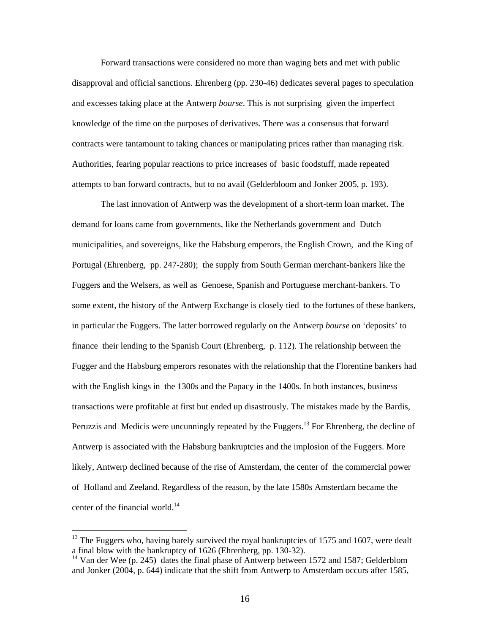Forward transactions were considered no more than waging bets and met with public disapproval and official sanctions. Ehrenberg (pp. 230-46) dedicates several pages to speculation and excesses taking place at the Antwerp *bourse*. This is not surprising given the imperfect knowledge of the time on the purposes of derivatives. There was a consensus that forward contracts were tantamount to taking chances or manipulating prices rather than managing risk. Authorities, fearing popular reactions to price increases of basic foodstuff, made repeated attempts to ban forward contracts, but to no avail (Gelderbloom and Jonker 2005, p. 193).

 The last innovation of Antwerp was the development of a short-term loan market. The demand for loans came from governments, like the Netherlands government and Dutch municipalities, and sovereigns, like the Habsburg emperors, the English Crown, and the King of Portugal (Ehrenberg, pp. 247-280); the supply from South German merchant-bankers like the Fuggers and the Welsers, as well as Genoese, Spanish and Portuguese merchant-bankers. To some extent, the history of the Antwerp Exchange is closely tied to the fortunes of these bankers, in particular the Fuggers. The latter borrowed regularly on the Antwerp *bourse* on 'deposits' to finance their lending to the Spanish Court (Ehrenberg, p. 112). The relationship between the Fugger and the Habsburg emperors resonates with the relationship that the Florentine bankers had with the English kings in the 1300s and the Papacy in the 1400s. In both instances, business transactions were profitable at first but ended up disastrously. The mistakes made by the Bardis, Peruzzis and Medicis were uncunningly repeated by the Fuggers.<sup>13</sup> For Ehrenberg, the decline of Antwerp is associated with the Habsburg bankruptcies and the implosion of the Fuggers. More likely, Antwerp declined because of the rise of Amsterdam, the center of the commercial power of Holland and Zeeland. Regardless of the reason, by the late 1580s Amsterdam became the center of the financial world.<sup>14</sup>

 $13$  The Fuggers who, having barely survived the royal bankruptcies of 1575 and 1607, were dealt a final blow with the bankruptcy of 1626 (Ehrenberg, pp. 130-32).

<sup>&</sup>lt;sup>14</sup> Van der Wee (p. 245) dates the final phase of Antwerp between 1572 and 1587; Gelderblom and Jonker (2004, p. 644) indicate that the shift from Antwerp to Amsterdam occurs after 1585,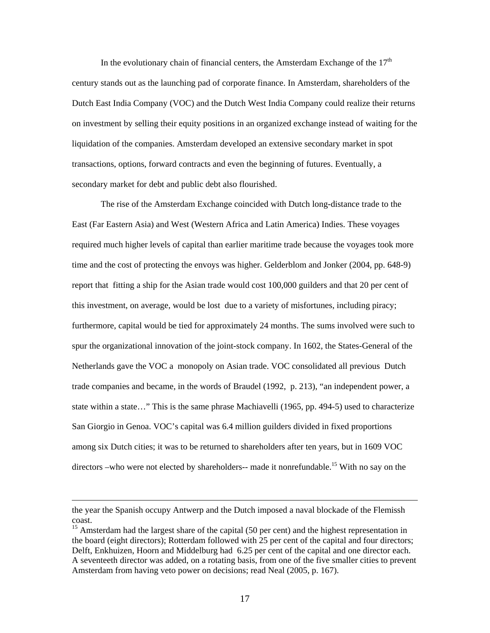In the evolutionary chain of financial centers, the Amsterdam Exchange of the  $17<sup>th</sup>$ century stands out as the launching pad of corporate finance. In Amsterdam, shareholders of the Dutch East India Company (VOC) and the Dutch West India Company could realize their returns on investment by selling their equity positions in an organized exchange instead of waiting for the liquidation of the companies. Amsterdam developed an extensive secondary market in spot transactions, options, forward contracts and even the beginning of futures. Eventually, a secondary market for debt and public debt also flourished.

The rise of the Amsterdam Exchange coincided with Dutch long-distance trade to the East (Far Eastern Asia) and West (Western Africa and Latin America) Indies. These voyages required much higher levels of capital than earlier maritime trade because the voyages took more time and the cost of protecting the envoys was higher. Gelderblom and Jonker (2004, pp. 648-9) report that fitting a ship for the Asian trade would cost 100,000 guilders and that 20 per cent of this investment, on average, would be lost due to a variety of misfortunes, including piracy; furthermore, capital would be tied for approximately 24 months. The sums involved were such to spur the organizational innovation of the joint-stock company. In 1602, the States-General of the Netherlands gave the VOC a monopoly on Asian trade. VOC consolidated all previous Dutch trade companies and became, in the words of Braudel (1992, p. 213), "an independent power, a state within a state…" This is the same phrase Machiavelli (1965, pp. 494-5) used to characterize San Giorgio in Genoa. VOC's capital was 6.4 million guilders divided in fixed proportions among six Dutch cities; it was to be returned to shareholders after ten years, but in 1609 VOC directors –who were not elected by shareholders-- made it nonrefundable.<sup>15</sup> With no say on the

the year the Spanish occupy Antwerp and the Dutch imposed a naval blockade of the Flemissh coast.

<sup>&</sup>lt;sup>15</sup> Amsterdam had the largest share of the capital (50 per cent) and the highest representation in the board (eight directors); Rotterdam followed with 25 per cent of the capital and four directors; Delft, Enkhuizen, Hoorn and Middelburg had 6.25 per cent of the capital and one director each. A seventeeth director was added, on a rotating basis, from one of the five smaller cities to prevent Amsterdam from having veto power on decisions; read Neal (2005, p. 167).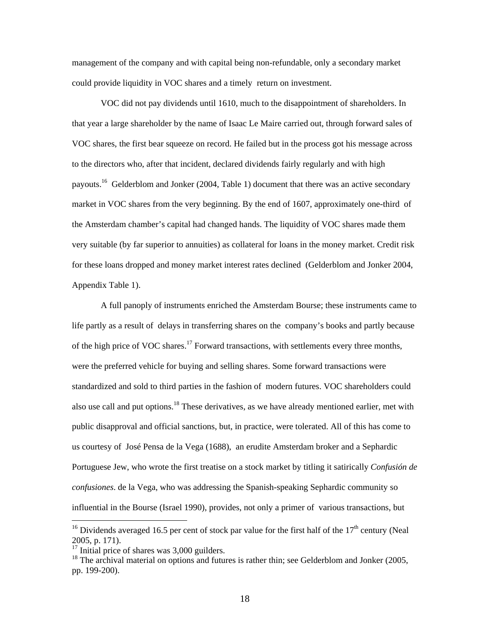management of the company and with capital being non-refundable, only a secondary market could provide liquidity in VOC shares and a timely return on investment.

VOC did not pay dividends until 1610, much to the disappointment of shareholders. In that year a large shareholder by the name of Isaac Le Maire carried out, through forward sales of VOC shares, the first bear squeeze on record. He failed but in the process got his message across to the directors who, after that incident, declared dividends fairly regularly and with high payouts.<sup>16</sup> Gelderblom and Jonker (2004, Table 1) document that there was an active secondary market in VOC shares from the very beginning. By the end of 1607, approximately one-third of the Amsterdam chamber's capital had changed hands. The liquidity of VOC shares made them very suitable (by far superior to annuities) as collateral for loans in the money market. Credit risk for these loans dropped and money market interest rates declined (Gelderblom and Jonker 2004, Appendix Table 1).

A full panoply of instruments enriched the Amsterdam Bourse; these instruments came to life partly as a result of delays in transferring shares on the company's books and partly because of the high price of VOC shares.<sup>17</sup> Forward transactions, with settlements every three months, were the preferred vehicle for buying and selling shares. Some forward transactions were standardized and sold to third parties in the fashion of modern futures. VOC shareholders could also use call and put options.<sup>18</sup> These derivatives, as we have already mentioned earlier, met with public disapproval and official sanctions, but, in practice, were tolerated. All of this has come to us courtesy of José Pensa de la Vega (1688), an erudite Amsterdam broker and a Sephardic Portuguese Jew, who wrote the first treatise on a stock market by titling it satirically *Confusión de confusiones*. de la Vega, who was addressing the Spanish-speaking Sephardic community so influential in the Bourse (Israel 1990), provides, not only a primer of various transactions, but

<sup>&</sup>lt;sup>16</sup> Dividends averaged 16.5 per cent of stock par value for the first half of the  $17<sup>th</sup>$  century (Neal 2005, p. 171).

 $17$  Initial price of shares was 3,000 guilders.

 $18$  The archival material on options and futures is rather thin; see Gelderblom and Jonker (2005, pp. 199-200).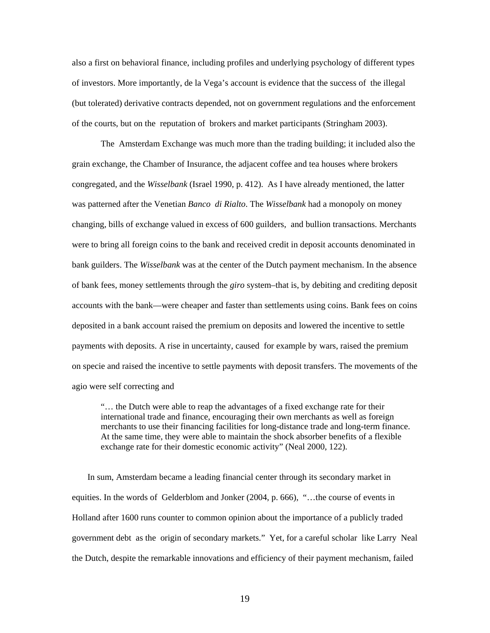also a first on behavioral finance, including profiles and underlying psychology of different types of investors. More importantly, de la Vega's account is evidence that the success of the illegal (but tolerated) derivative contracts depended, not on government regulations and the enforcement of the courts, but on the reputation of brokers and market participants (Stringham 2003).

The Amsterdam Exchange was much more than the trading building; it included also the grain exchange, the Chamber of Insurance, the adjacent coffee and tea houses where brokers congregated, and the *Wisselbank* (Israel 1990, p. 412). As I have already mentioned, the latter was patterned after the Venetian *Banco di Rialto*. The *Wisselbank* had a monopoly on money changing, bills of exchange valued in excess of 600 guilders, and bullion transactions. Merchants were to bring all foreign coins to the bank and received credit in deposit accounts denominated in bank guilders. The *Wisselbank* was at the center of the Dutch payment mechanism. In the absence of bank fees, money settlements through the *giro* system–that is, by debiting and crediting deposit accounts with the bank—were cheaper and faster than settlements using coins. Bank fees on coins deposited in a bank account raised the premium on deposits and lowered the incentive to settle payments with deposits. A rise in uncertainty, caused for example by wars, raised the premium on specie and raised the incentive to settle payments with deposit transfers. The movements of the agio were self correcting and

"… the Dutch were able to reap the advantages of a fixed exchange rate for their international trade and finance, encouraging their own merchants as well as foreign merchants to use their financing facilities for long-distance trade and long-term finance. At the same time, they were able to maintain the shock absorber benefits of a flexible exchange rate for their domestic economic activity" (Neal 2000, 122).

 In sum, Amsterdam became a leading financial center through its secondary market in equities. In the words of Gelderblom and Jonker (2004, p. 666), "…the course of events in Holland after 1600 runs counter to common opinion about the importance of a publicly traded government debt as the origin of secondary markets." Yet, for a careful scholar like Larry Neal the Dutch, despite the remarkable innovations and efficiency of their payment mechanism, failed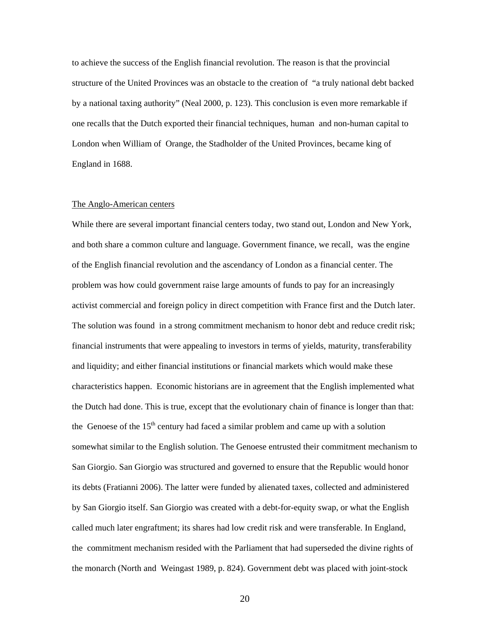to achieve the success of the English financial revolution. The reason is that the provincial structure of the United Provinces was an obstacle to the creation of "a truly national debt backed by a national taxing authority" (Neal 2000, p. 123). This conclusion is even more remarkable if one recalls that the Dutch exported their financial techniques, human and non-human capital to London when William of Orange, the Stadholder of the United Provinces, became king of England in 1688.

#### The Anglo-American centers

While there are several important financial centers today, two stand out, London and New York, and both share a common culture and language. Government finance, we recall, was the engine of the English financial revolution and the ascendancy of London as a financial center. The problem was how could government raise large amounts of funds to pay for an increasingly activist commercial and foreign policy in direct competition with France first and the Dutch later. The solution was found in a strong commitment mechanism to honor debt and reduce credit risk; financial instruments that were appealing to investors in terms of yields, maturity, transferability and liquidity; and either financial institutions or financial markets which would make these characteristics happen. Economic historians are in agreement that the English implemented what the Dutch had done. This is true, except that the evolutionary chain of finance is longer than that: the Genoese of the  $15<sup>th</sup>$  century had faced a similar problem and came up with a solution somewhat similar to the English solution. The Genoese entrusted their commitment mechanism to San Giorgio. San Giorgio was structured and governed to ensure that the Republic would honor its debts (Fratianni 2006). The latter were funded by alienated taxes, collected and administered by San Giorgio itself. San Giorgio was created with a debt-for-equity swap, or what the English called much later engraftment; its shares had low credit risk and were transferable. In England, the commitment mechanism resided with the Parliament that had superseded the divine rights of the monarch (North and Weingast 1989, p. 824). Government debt was placed with joint-stock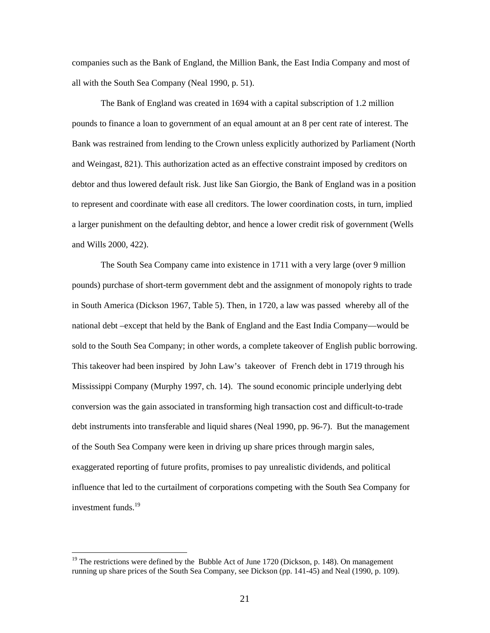companies such as the Bank of England, the Million Bank, the East India Company and most of all with the South Sea Company (Neal 1990, p. 51).

 The Bank of England was created in 1694 with a capital subscription of 1.2 million pounds to finance a loan to government of an equal amount at an 8 per cent rate of interest. The Bank was restrained from lending to the Crown unless explicitly authorized by Parliament (North and Weingast, 821). This authorization acted as an effective constraint imposed by creditors on debtor and thus lowered default risk. Just like San Giorgio, the Bank of England was in a position to represent and coordinate with ease all creditors. The lower coordination costs, in turn, implied a larger punishment on the defaulting debtor, and hence a lower credit risk of government (Wells and Wills 2000, 422).

The South Sea Company came into existence in 1711 with a very large (over 9 million pounds) purchase of short-term government debt and the assignment of monopoly rights to trade in South America (Dickson 1967, Table 5). Then, in 1720, a law was passed whereby all of the national debt –except that held by the Bank of England and the East India Company—would be sold to the South Sea Company; in other words, a complete takeover of English public borrowing. This takeover had been inspired by John Law's takeover of French debt in 1719 through his Mississippi Company (Murphy 1997, ch. 14). The sound economic principle underlying debt conversion was the gain associated in transforming high transaction cost and difficult-to-trade debt instruments into transferable and liquid shares (Neal 1990, pp. 96-7). But the management of the South Sea Company were keen in driving up share prices through margin sales, exaggerated reporting of future profits, promises to pay unrealistic dividends, and political influence that led to the curtailment of corporations competing with the South Sea Company for investment funds.19

 $19$  The restrictions were defined by the Bubble Act of June 1720 (Dickson, p. 148). On management running up share prices of the South Sea Company, see Dickson (pp. 141-45) and Neal (1990, p. 109).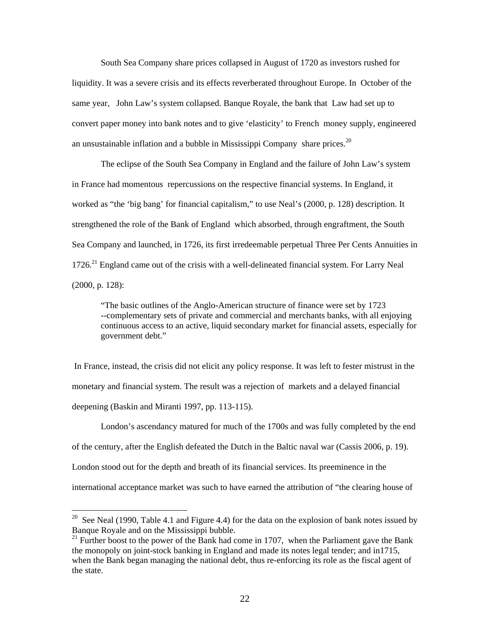South Sea Company share prices collapsed in August of 1720 as investors rushed for liquidity. It was a severe crisis and its effects reverberated throughout Europe. In October of the same year, John Law's system collapsed. Banque Royale, the bank that Law had set up to convert paper money into bank notes and to give 'elasticity' to French money supply, engineered an unsustainable inflation and a bubble in Mississippi Company share prices.<sup>20</sup>

The eclipse of the South Sea Company in England and the failure of John Law's system in France had momentous repercussions on the respective financial systems. In England, it worked as "the 'big bang' for financial capitalism," to use Neal's (2000, p. 128) description. It strengthened the role of the Bank of England which absorbed, through engraftment, the South Sea Company and launched, in 1726, its first irredeemable perpetual Three Per Cents Annuities in  $1726<sup>21</sup>$  England came out of the crisis with a well-delineated financial system. For Larry Neal (2000, p. 128):

"The basic outlines of the Anglo-American structure of finance were set by 1723 --complementary sets of private and commercial and merchants banks, with all enjoying continuous access to an active, liquid secondary market for financial assets, especially for government debt."

 In France, instead, the crisis did not elicit any policy response. It was left to fester mistrust in the monetary and financial system. The result was a rejection of markets and a delayed financial deepening (Baskin and Miranti 1997, pp. 113-115).

 London's ascendancy matured for much of the 1700s and was fully completed by the end of the century, after the English defeated the Dutch in the Baltic naval war (Cassis 2006, p. 19). London stood out for the depth and breath of its financial services. Its preeminence in the international acceptance market was such to have earned the attribution of "the clearing house of

<sup>&</sup>lt;sup>20</sup> See Neal (1990, Table 4.1 and Figure 4.4) for the data on the explosion of bank notes issued by Banque Royale and on the Mississippi bubble.

<sup>&</sup>lt;sup>21</sup> Further boost to the power of the Bank had come in 1707, when the Parliament gave the Bank the monopoly on joint-stock banking in England and made its notes legal tender; and in1715, when the Bank began managing the national debt, thus re-enforcing its role as the fiscal agent of the state.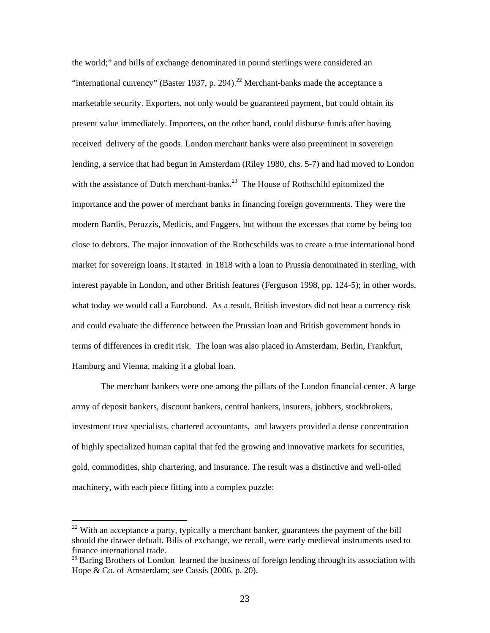the world;" and bills of exchange denominated in pound sterlings were considered an "international currency" (Baster 1937, p. 294).<sup>22</sup> Merchant-banks made the acceptance a marketable security. Exporters, not only would be guaranteed payment, but could obtain its present value immediately. Importers, on the other hand, could disburse funds after having received delivery of the goods. London merchant banks were also preeminent in sovereign lending, a service that had begun in Amsterdam (Riley 1980, chs. 5-7) and had moved to London with the assistance of Dutch merchant-banks.<sup>23</sup> The House of Rothschild epitomized the importance and the power of merchant banks in financing foreign governments. They were the modern Bardis, Peruzzis, Medicis, and Fuggers, but without the excesses that come by being too close to debtors. The major innovation of the Rothcschilds was to create a true international bond market for sovereign loans. It started in 1818 with a loan to Prussia denominated in sterling, with interest payable in London, and other British features (Ferguson 1998, pp. 124-5); in other words, what today we would call a Eurobond. As a result, British investors did not bear a currency risk and could evaluate the difference between the Prussian loan and British government bonds in terms of differences in credit risk. The loan was also placed in Amsterdam, Berlin, Frankfurt, Hamburg and Vienna, making it a global loan.

 The merchant bankers were one among the pillars of the London financial center. A large army of deposit bankers, discount bankers, central bankers, insurers, jobbers, stockbrokers, investment trust specialists, chartered accountants, and lawyers provided a dense concentration of highly specialized human capital that fed the growing and innovative markets for securities, gold, commodities, ship chartering, and insurance. The result was a distinctive and well-oiled machinery, with each piece fitting into a complex puzzle:

 $22$  With an acceptance a party, typically a merchant banker, guarantees the payment of the bill should the drawer defualt. Bills of exchange, we recall, were early medieval instruments used to finance international trade.

<sup>&</sup>lt;sup>23</sup> Baring Brothers of London learned the business of foreign lending through its association with Hope & Co. of Amsterdam; see Cassis (2006, p. 20).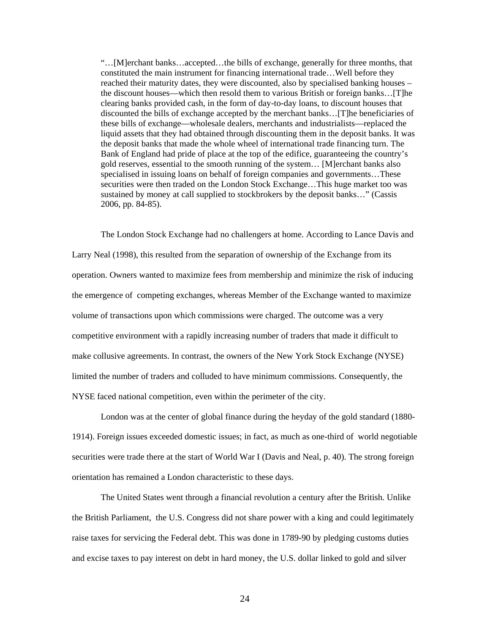"…[M]erchant banks…accepted…the bills of exchange, generally for three months, that constituted the main instrument for financing international trade…Well before they reached their maturity dates, they were discounted, also by specialised banking houses – the discount houses—which then resold them to various British or foreign banks…[T]he clearing banks provided cash, in the form of day-to-day loans, to discount houses that discounted the bills of exchange accepted by the merchant banks…[T]he beneficiaries of these bills of exchange—wholesale dealers, merchants and industrialists—replaced the liquid assets that they had obtained through discounting them in the deposit banks. It was the deposit banks that made the whole wheel of international trade financing turn. The Bank of England had pride of place at the top of the edifice, guaranteeing the country's gold reserves, essential to the smooth running of the system… [M]erchant banks also specialised in issuing loans on behalf of foreign companies and governments…These securities were then traded on the London Stock Exchange…This huge market too was sustained by money at call supplied to stockbrokers by the deposit banks…" (Cassis 2006, pp. 84-85).

 The London Stock Exchange had no challengers at home. According to Lance Davis and Larry Neal (1998), this resulted from the separation of ownership of the Exchange from its operation. Owners wanted to maximize fees from membership and minimize the risk of inducing the emergence of competing exchanges, whereas Member of the Exchange wanted to maximize volume of transactions upon which commissions were charged. The outcome was a very competitive environment with a rapidly increasing number of traders that made it difficult to make collusive agreements. In contrast, the owners of the New York Stock Exchange (NYSE) limited the number of traders and colluded to have minimum commissions. Consequently, the NYSE faced national competition, even within the perimeter of the city.

 London was at the center of global finance during the heyday of the gold standard (1880- 1914). Foreign issues exceeded domestic issues; in fact, as much as one-third of world negotiable securities were trade there at the start of World War I (Davis and Neal, p. 40). The strong foreign orientation has remained a London characteristic to these days.

 The United States went through a financial revolution a century after the British. Unlike the British Parliament, the U.S. Congress did not share power with a king and could legitimately raise taxes for servicing the Federal debt. This was done in 1789-90 by pledging customs duties and excise taxes to pay interest on debt in hard money, the U.S. dollar linked to gold and silver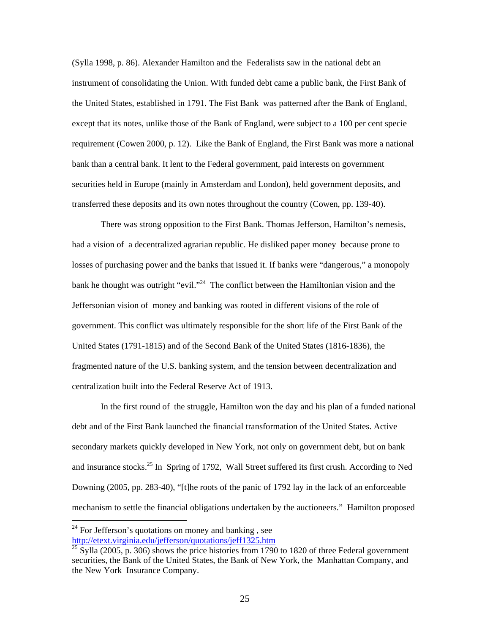(Sylla 1998, p. 86). Alexander Hamilton and the Federalists saw in the national debt an instrument of consolidating the Union. With funded debt came a public bank, the First Bank of the United States, established in 1791. The Fist Bank was patterned after the Bank of England, except that its notes, unlike those of the Bank of England, were subject to a 100 per cent specie requirement (Cowen 2000, p. 12). Like the Bank of England, the First Bank was more a national bank than a central bank. It lent to the Federal government, paid interests on government securities held in Europe (mainly in Amsterdam and London), held government deposits, and transferred these deposits and its own notes throughout the country (Cowen, pp. 139-40).

 There was strong opposition to the First Bank. Thomas Jefferson, Hamilton's nemesis, had a vision of a decentralized agrarian republic. He disliked paper money because prone to losses of purchasing power and the banks that issued it. If banks were "dangerous," a monopoly bank he thought was outright "evil."<sup>24</sup> The conflict between the Hamiltonian vision and the Jeffersonian vision of money and banking was rooted in different visions of the role of government. This conflict was ultimately responsible for the short life of the First Bank of the United States (1791-1815) and of the Second Bank of the United States (1816-1836), the fragmented nature of the U.S. banking system, and the tension between decentralization and centralization built into the Federal Reserve Act of 1913.

In the first round of the struggle, Hamilton won the day and his plan of a funded national debt and of the First Bank launched the financial transformation of the United States. Active secondary markets quickly developed in New York, not only on government debt, but on bank and insurance stocks.<sup>25</sup> In Spring of 1792, Wall Street suffered its first crush. According to Ned Downing (2005, pp. 283-40), "[t]he roots of the panic of 1792 lay in the lack of an enforceable mechanism to settle the financial obligations undertaken by the auctioneers." Hamilton proposed

 $24$  For Jefferson's quotations on money and banking, see

http://etext.virginia.edu/jefferson/quotations/jeff1325.htm<br><sup>25</sup> Sylla (2005, p. 306) shows the price histories from 1790 to 1820 of three Federal government securities, the Bank of the United States, the Bank of New York, the Manhattan Company, and the New York Insurance Company.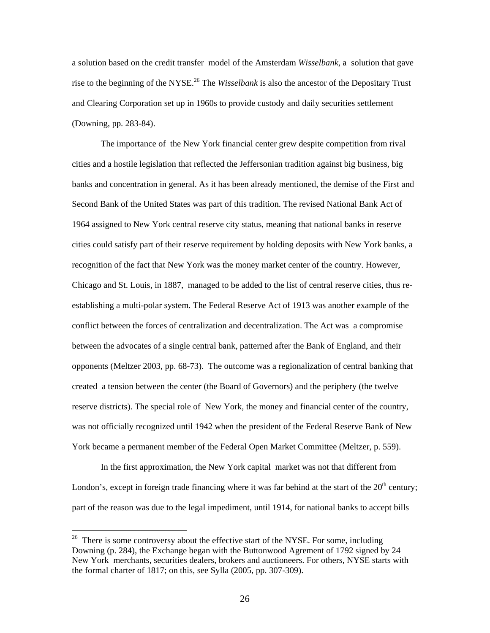a solution based on the credit transfer model of the Amsterdam *Wisselbank*, a solution that gave rise to the beginning of the NYSE.26 The *Wisselbank* is also the ancestor of the Depositary Trust and Clearing Corporation set up in 1960s to provide custody and daily securities settlement (Downing, pp. 283-84).

The importance of the New York financial center grew despite competition from rival cities and a hostile legislation that reflected the Jeffersonian tradition against big business, big banks and concentration in general. As it has been already mentioned, the demise of the First and Second Bank of the United States was part of this tradition. The revised National Bank Act of 1964 assigned to New York central reserve city status, meaning that national banks in reserve cities could satisfy part of their reserve requirement by holding deposits with New York banks, a recognition of the fact that New York was the money market center of the country. However, Chicago and St. Louis, in 1887, managed to be added to the list of central reserve cities, thus reestablishing a multi-polar system. The Federal Reserve Act of 1913 was another example of the conflict between the forces of centralization and decentralization. The Act was a compromise between the advocates of a single central bank, patterned after the Bank of England, and their opponents (Meltzer 2003, pp. 68-73). The outcome was a regionalization of central banking that created a tension between the center (the Board of Governors) and the periphery (the twelve reserve districts). The special role of New York, the money and financial center of the country, was not officially recognized until 1942 when the president of the Federal Reserve Bank of New York became a permanent member of the Federal Open Market Committee (Meltzer, p. 559).

In the first approximation, the New York capital market was not that different from London's, except in foreign trade financing where it was far behind at the start of the  $20<sup>th</sup>$  century; part of the reason was due to the legal impediment, until 1914, for national banks to accept bills

 $26$  There is some controversy about the effective start of the NYSE. For some, including Downing (p. 284), the Exchange began with the Buttonwood Agrement of 1792 signed by 24 New York merchants, securities dealers, brokers and auctioneers. For others, NYSE starts with the formal charter of 1817; on this, see Sylla (2005, pp. 307-309).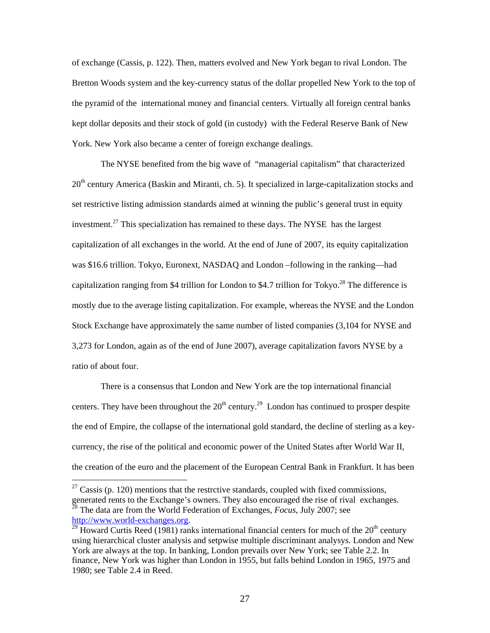of exchange (Cassis, p. 122). Then, matters evolved and New York began to rival London. The Bretton Woods system and the key-currency status of the dollar propelled New York to the top of the pyramid of the international money and financial centers. Virtually all foreign central banks kept dollar deposits and their stock of gold (in custody) with the Federal Reserve Bank of New York. New York also became a center of foreign exchange dealings.

The NYSE benefited from the big wave of "managerial capitalism" that characterized  $20<sup>th</sup>$  century America (Baskin and Miranti, ch. 5). It specialized in large-capitalization stocks and set restrictive listing admission standards aimed at winning the public's general trust in equity investment.<sup>27</sup> This specialization has remained to these days. The NYSE has the largest capitalization of all exchanges in the world. At the end of June of 2007, its equity capitalization was \$16.6 trillion. Tokyo, Euronext, NASDAQ and London –following in the ranking—had capitalization ranging from \$4 trillion for London to \$4.7 trillion for Tokyo.<sup>28</sup> The difference is mostly due to the average listing capitalization. For example, whereas the NYSE and the London Stock Exchange have approximately the same number of listed companies (3,104 for NYSE and 3,273 for London, again as of the end of June 2007), average capitalization favors NYSE by a ratio of about four.

There is a consensus that London and New York are the top international financial centers. They have been throughout the  $20<sup>th</sup>$  century.<sup>29</sup> London has continued to prosper despite the end of Empire, the collapse of the international gold standard, the decline of sterling as a keycurrency, the rise of the political and economic power of the United States after World War II, the creation of the euro and the placement of the European Central Bank in Frankfurt. It has been

 $^{27}$  Cassis (p. 120) mentions that the restrctive standards, coupled with fixed commissions, generated rents to the Exchange's owners. They also encouraged the rise of rival exchanges. 28 The data are from the World Federation of Exchanges, *Focus*, July 2007; see  $\frac{http://www.world-exchanges.org}{^{29}}$  Howard Curtis Reed (1981) ranks international financial centers for much of the 20<sup>th</sup> century

using hierarchical cluster analysis and setpwise multiple discriminant analysys. London and New York are always at the top. In banking, London prevails over New York; see Table 2.2. In finance, New York was higher than London in 1955, but falls behind London in 1965, 1975 and 1980; see Table 2.4 in Reed.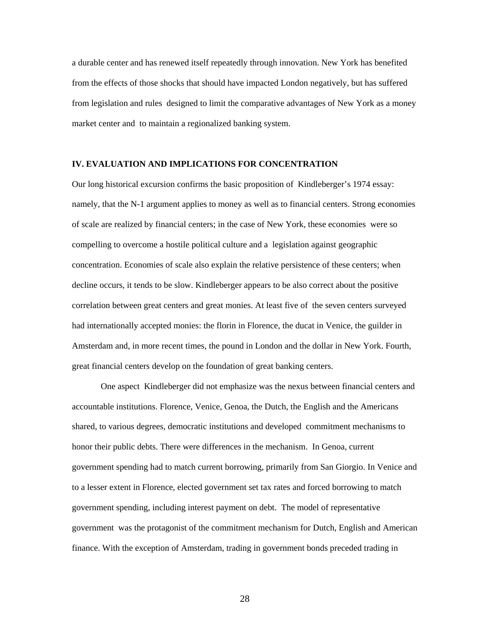a durable center and has renewed itself repeatedly through innovation. New York has benefited from the effects of those shocks that should have impacted London negatively, but has suffered from legislation and rules designed to limit the comparative advantages of New York as a money market center and to maintain a regionalized banking system.

# **IV. EVALUATION AND IMPLICATIONS FOR CONCENTRATION**

Our long historical excursion confirms the basic proposition of Kindleberger's 1974 essay: namely, that the N-1 argument applies to money as well as to financial centers. Strong economies of scale are realized by financial centers; in the case of New York, these economies were so compelling to overcome a hostile political culture and a legislation against geographic concentration. Economies of scale also explain the relative persistence of these centers; when decline occurs, it tends to be slow. Kindleberger appears to be also correct about the positive correlation between great centers and great monies. At least five of the seven centers surveyed had internationally accepted monies: the florin in Florence, the ducat in Venice, the guilder in Amsterdam and, in more recent times, the pound in London and the dollar in New York. Fourth, great financial centers develop on the foundation of great banking centers.

One aspect Kindleberger did not emphasize was the nexus between financial centers and accountable institutions. Florence, Venice, Genoa, the Dutch, the English and the Americans shared, to various degrees, democratic institutions and developed commitment mechanisms to honor their public debts. There were differences in the mechanism. In Genoa, current government spending had to match current borrowing, primarily from San Giorgio. In Venice and to a lesser extent in Florence, elected government set tax rates and forced borrowing to match government spending, including interest payment on debt. The model of representative government was the protagonist of the commitment mechanism for Dutch, English and American finance. With the exception of Amsterdam, trading in government bonds preceded trading in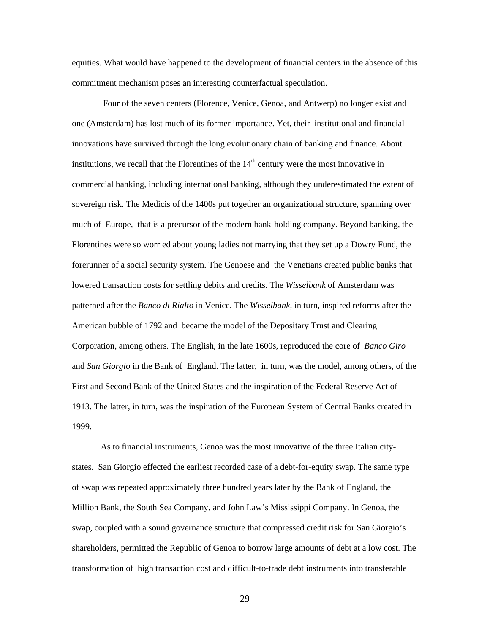equities. What would have happened to the development of financial centers in the absence of this commitment mechanism poses an interesting counterfactual speculation.

 Four of the seven centers (Florence, Venice, Genoa, and Antwerp) no longer exist and one (Amsterdam) has lost much of its former importance. Yet, their institutional and financial innovations have survived through the long evolutionary chain of banking and finance. About institutions, we recall that the Florentines of the  $14<sup>th</sup>$  century were the most innovative in commercial banking, including international banking, although they underestimated the extent of sovereign risk. The Medicis of the 1400s put together an organizational structure, spanning over much of Europe, that is a precursor of the modern bank-holding company. Beyond banking, the Florentines were so worried about young ladies not marrying that they set up a Dowry Fund, the forerunner of a social security system. The Genoese and the Venetians created public banks that lowered transaction costs for settling debits and credits. The *Wisselbank* of Amsterdam was patterned after the *Banco di Rialto* in Venice. The *Wisselbank*, in turn, inspired reforms after the American bubble of 1792 and became the model of the Depositary Trust and Clearing Corporation, among others. The English, in the late 1600s, reproduced the core of *Banco Giro* and *San Giorgio* in the Bank of England. The latter, in turn, was the model, among others, of the First and Second Bank of the United States and the inspiration of the Federal Reserve Act of 1913. The latter, in turn, was the inspiration of the European System of Central Banks created in 1999.

 As to financial instruments, Genoa was the most innovative of the three Italian citystates. San Giorgio effected the earliest recorded case of a debt-for-equity swap. The same type of swap was repeated approximately three hundred years later by the Bank of England, the Million Bank, the South Sea Company, and John Law's Mississippi Company. In Genoa, the swap, coupled with a sound governance structure that compressed credit risk for San Giorgio's shareholders, permitted the Republic of Genoa to borrow large amounts of debt at a low cost. The transformation of high transaction cost and difficult-to-trade debt instruments into transferable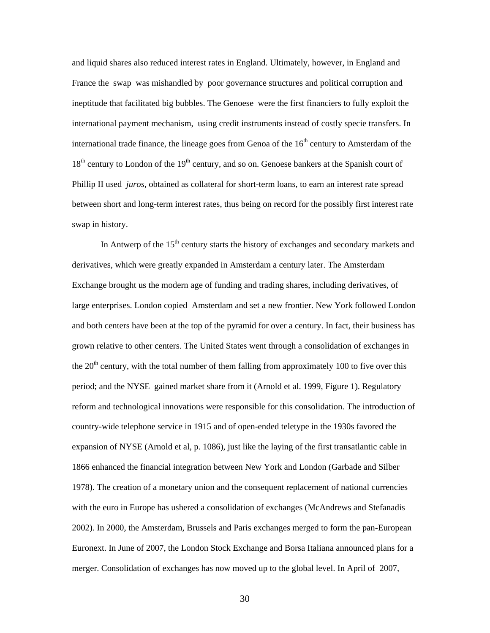and liquid shares also reduced interest rates in England. Ultimately, however, in England and France the swap was mishandled by poor governance structures and political corruption and ineptitude that facilitated big bubbles. The Genoese were the first financiers to fully exploit the international payment mechanism, using credit instruments instead of costly specie transfers. In international trade finance, the lineage goes from Genoa of the  $16<sup>th</sup>$  century to Amsterdam of the  $18<sup>th</sup>$  century to London of the  $19<sup>th</sup>$  century, and so on. Genoese bankers at the Spanish court of Phillip II used *juros*, obtained as collateral for short-term loans, to earn an interest rate spread between short and long-term interest rates, thus being on record for the possibly first interest rate swap in history.

In Antwerp of the  $15<sup>th</sup>$  century starts the history of exchanges and secondary markets and derivatives, which were greatly expanded in Amsterdam a century later. The Amsterdam Exchange brought us the modern age of funding and trading shares, including derivatives, of large enterprises. London copied Amsterdam and set a new frontier. New York followed London and both centers have been at the top of the pyramid for over a century. In fact, their business has grown relative to other centers. The United States went through a consolidation of exchanges in the  $20<sup>th</sup>$  century, with the total number of them falling from approximately 100 to five over this period; and the NYSE gained market share from it (Arnold et al. 1999, Figure 1). Regulatory reform and technological innovations were responsible for this consolidation. The introduction of country-wide telephone service in 1915 and of open-ended teletype in the 1930s favored the expansion of NYSE (Arnold et al, p. 1086), just like the laying of the first transatlantic cable in 1866 enhanced the financial integration between New York and London (Garbade and Silber 1978). The creation of a monetary union and the consequent replacement of national currencies with the euro in Europe has ushered a consolidation of exchanges (McAndrews and Stefanadis 2002). In 2000, the Amsterdam, Brussels and Paris exchanges merged to form the pan-European Euronext. In June of 2007, the London Stock Exchange and Borsa Italiana announced plans for a merger. Consolidation of exchanges has now moved up to the global level. In April of 2007,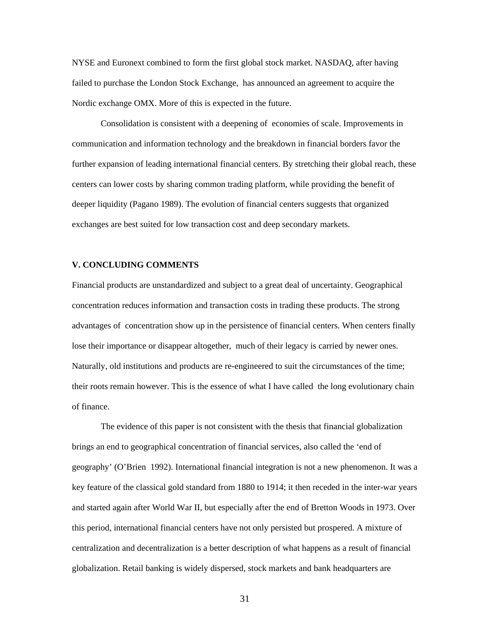NYSE and Euronext combined to form the first global stock market. NASDAQ, after having failed to purchase the London Stock Exchange, has announced an agreement to acquire the Nordic exchange OMX. More of this is expected in the future.

Consolidation is consistent with a deepening of economies of scale. Improvements in communication and information technology and the breakdown in financial borders favor the further expansion of leading international financial centers. By stretching their global reach, these centers can lower costs by sharing common trading platform, while providing the benefit of deeper liquidity (Pagano 1989). The evolution of financial centers suggests that organized exchanges are best suited for low transaction cost and deep secondary markets.

# **V. CONCLUDING COMMENTS**

Financial products are unstandardized and subject to a great deal of uncertainty. Geographical concentration reduces information and transaction costs in trading these products. The strong advantages of concentration show up in the persistence of financial centers. When centers finally lose their importance or disappear altogether, much of their legacy is carried by newer ones. Naturally, old institutions and products are re-engineered to suit the circumstances of the time; their roots remain however. This is the essence of what I have called the long evolutionary chain of finance.

 The evidence of this paper is not consistent with the thesis that financial globalization brings an end to geographical concentration of financial services, also called the 'end of geography' (O'Brien 1992). International financial integration is not a new phenomenon. It was a key feature of the classical gold standard from 1880 to 1914; it then receded in the inter-war years and started again after World War II, but especially after the end of Bretton Woods in 1973. Over this period, international financial centers have not only persisted but prospered. A mixture of centralization and decentralization is a better description of what happens as a result of financial globalization. Retail banking is widely dispersed, stock markets and bank headquarters are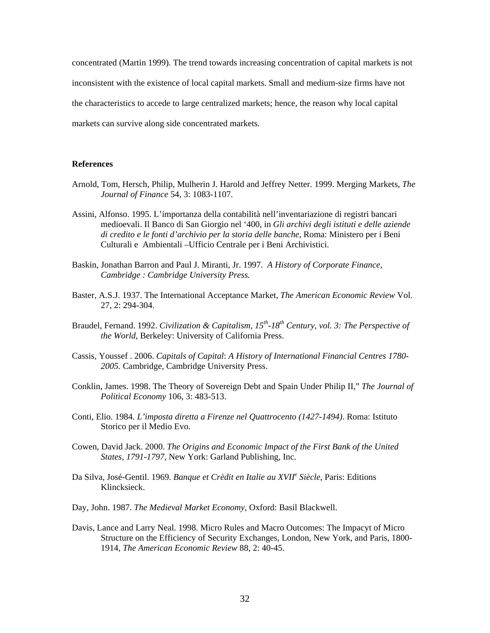concentrated (Martin 1999). The trend towards increasing concentration of capital markets is not inconsistent with the existence of local capital markets. Small and medium-size firms have not the characteristics to accede to large centralized markets; hence, the reason why local capital markets can survive along side concentrated markets.

# **References**

- Arnold, Tom, Hersch, Philip, Mulherin J. Harold and Jeffrey Netter. 1999. Merging Markets, *The Journal of Finance* 54, 3: 1083-1107.
- Assini, Alfonso. 1995. L'importanza della contabilità nell'inventariazione di registri bancari medioevali. Il Banco di San Giorgio nel '400, in *Gli archivi degli istituti e delle aziende di credito e le fonti d'archivio per la storia delle banche*, Roma: Ministero per i Beni Culturali e Ambientali –Ufficio Centrale per i Beni Archivistici.
- Baskin, Jonathan Barron and Paul J. Miranti, Jr. 1997. *A History of Corporate Finance, Cambridge : Cambridge University Press.*
- Baster, A.S.J. 1937. The International Acceptance Market, *The American Economic Review* Vol. 27, 2: 294-304.
- Braudel, Fernand. 1992. *Civilization & Capitalism, 15th-18th Century, vol. 3: The Perspective of the World*, Berkeley: University of California Press.
- Cassis, Youssef . 2006. *Capitals of Capital*: *A History of International Financial Centres 1780- 2005.* Cambridge, Cambridge University Press.
- Conklin, James. 1998. The Theory of Sovereign Debt and Spain Under Philip II," *The Journal of Political Economy* 106, 3: 483-513.
- Conti, Elio. 1984. *L'imposta diretta a Firenze nel Quattrocento (1427-1494)*. Roma: Istituto Storico per il Medio Evo.
- Cowen, David Jack. 2000. *The Origins and Economic Impact of the First Bank of the United States, 1791-1797*, New York: Garland Publishing, Inc.
- Da Silva, José-Gentil. 1969. *Banque et Crèdit en Italie au XVII<sup>e</sup> Siècle*, Paris: Editions Klincksieck.
- Day, John. 1987. *The Medieval Market Economy*, Oxford: Basil Blackwell.
- Davis, Lance and Larry Neal. 1998. Micro Rules and Macro Outcomes: The Impacyt of Micro Structure on the Efficiency of Security Exchanges, London, New York, and Paris, 1800- 1914, *The American Economic Review* 88, 2: 40-45.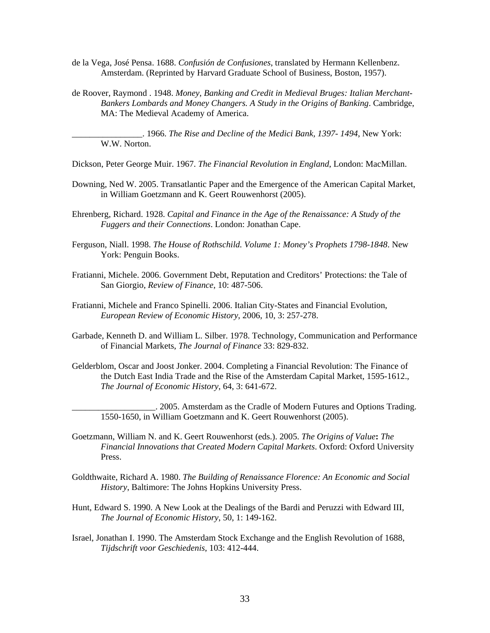- de la Vega, José Pensa. 1688. *Confusión de Confusiones*, translated by Hermann Kellenbenz. Amsterdam. (Reprinted by Harvard Graduate School of Business, Boston, 1957).
- de Roover, Raymond . 1948. *Money, Banking and Credit in Medieval Bruges: Italian Merchant-Bankers Lombards and Money Changers. A Study in the Origins of Banking*. Cambridge, MA: The Medieval Academy of America.

\_\_\_\_\_\_\_\_\_\_\_\_\_\_\_\_. 1966. *The Rise and Decline of the Medici Bank, 1397- 1494*, New York: W. W. Norton.

Dickson, Peter George Muir. 1967. *The Financial Revolution in England*, London: MacMillan.

- Downing, Ned W. 2005. Transatlantic Paper and the Emergence of the American Capital Market, in William Goetzmann and K. Geert Rouwenhorst (2005).
- Ehrenberg, Richard. 1928. *Capital and Finance in the Age of the Renaissance: A Study of the Fuggers and their Connections*. London: Jonathan Cape.
- Ferguson, Niall. 1998. *The House of Rothschild. Volume 1: Money's Prophets 1798-1848*. New York: Penguin Books.
- Fratianni, Michele. 2006. Government Debt, Reputation and Creditors' Protections: the Tale of San Giorgio, *Review of Finance*, 10: 487-506.
- Fratianni, Michele and Franco Spinelli. 2006. Italian City-States and Financial Evolution, *European Review of Economic History*, 2006, 10, 3: 257-278.
- Garbade, Kenneth D. and William L. Silber. 1978. Technology, Communication and Performance of Financial Markets, *The Journal of Finance* 33: 829-832.
- Gelderblom, Oscar and Joost Jonker. 2004. Completing a Financial Revolution: The Finance of the Dutch East India Trade and the Rise of the Amsterdam Capital Market, 1595-1612., *The Journal of Economic History*, 64, 3: 641-672.

\_\_\_\_\_\_\_\_\_\_\_\_\_\_\_\_\_\_\_. 2005. Amsterdam as the Cradle of Modern Futures and Options Trading. 1550-1650, in William Goetzmann and K. Geert Rouwenhorst (2005).

- Goetzmann, William N. and K. Geert Rouwenhorst (eds.). 2005. *The Origins of Value***:** *The Financial Innovations that Created Modern Capital Markets*. Oxford: Oxford University Press.
- Goldthwaite, Richard A. 1980. *The Building of Renaissance Florence: An Economic and Social History*, Baltimore: The Johns Hopkins University Press.
- Hunt, Edward S. 1990. A New Look at the Dealings of the Bardi and Peruzzi with Edward III, *The Journal of Economic History*, 50, 1: 149-162.
- Israel, Jonathan I. 1990. The Amsterdam Stock Exchange and the English Revolution of 1688, *Tijdschrift voor Geschiedenis*, 103: 412-444.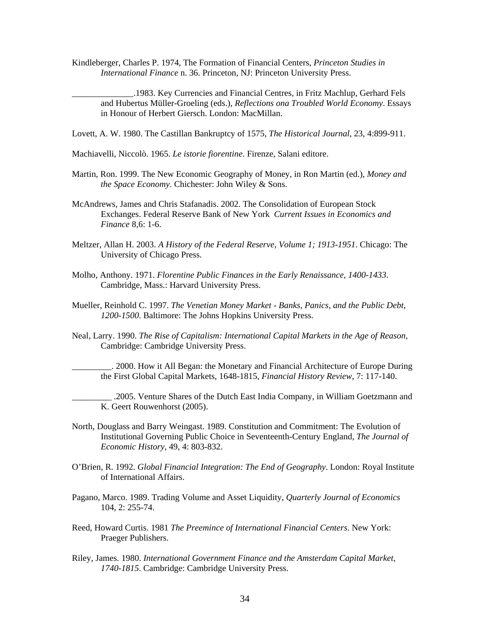- Kindleberger, Charles P. 1974, The Formation of Financial Centers, *Princeton Studies in International Finance* n. 36. Princeton, NJ: Princeton University Press.
	- \_\_\_\_\_\_\_\_\_\_\_\_\_\_.1983. Key Currencies and Financial Centres, in Fritz Machlup, Gerhard Fels and Hubertus Müller-Groeling (eds.), *Reflections ona Troubled World Economy*. Essays in Honour of Herbert Giersch. London: MacMillan.
- Lovett, A. W. 1980. The Castillan Bankruptcy of 1575, *The Historical Journal*, 23, 4:899-911.
- Machiavelli, Niccolò. 1965. *Le istorie fiorentine*. Firenze, Salani editore.
- Martin, Ron. 1999. The New Economic Geography of Money, in Ron Martin (ed.), *Money and the Space Economy*. Chichester: John Wiley & Sons.
- McAndrews, James and Chris Stafanadis. 2002. The Consolidation of European Stock Exchanges. Federal Reserve Bank of New York *Current Issues in Economics and Finance* 8,6: 1-6.
- Meltzer, Allan H. 2003. *A History of the Federal Reserve, Volume 1; 1913-1951*. Chicago: The University of Chicago Press.
- Molho, Anthony. 1971. *Florentine Public Finances in the Early Renaissance, 1400-1433*. Cambridge, Mass.: Harvard University Press.
- Mueller, Reinhold C. 1997. *The Venetian Money Market Banks, Panics, and the Public Debt, 1200-1500*. Baltimore: The Johns Hopkins University Press.
- Neal, Larry. 1990. *The Rise of Capitalism: International Capital Markets in the Age of Reason*, Cambridge: Cambridge University Press.

\_\_\_\_\_\_\_\_\_. 2000. How it All Began: the Monetary and Financial Architecture of Europe During the First Global Capital Markets, 1648-1815, *Financial History Review*, 7: 117-140.

\_\_\_\_\_\_\_\_\_ .2005. Venture Shares of the Dutch East India Company, in William Goetzmann and K. Geert Rouwenhorst (2005).

- North, Douglass and Barry Weingast. 1989. Constitution and Commitment: The Evolution of Institutional Governing Public Choice in Seventeenth-Century England, *The Journal of Economic History*, 49, 4: 803-832.
- O'Brien, R. 1992. *Global Financial Integration: The End of Geography*. London: Royal Institute of International Affairs.
- Pagano, Marco. 1989. Trading Volume and Asset Liquidity, *Quarterly Journal of Economics* 104, 2: 255-74.
- Reed, Howard Curtis. 1981 *The Preemince of International Financial Centers*. New York: Praeger Publishers.
- Riley, James. 1980. *International Government Finance and the Amsterdam Capital Market, 1740-1815*. Cambridge: Cambridge University Press.